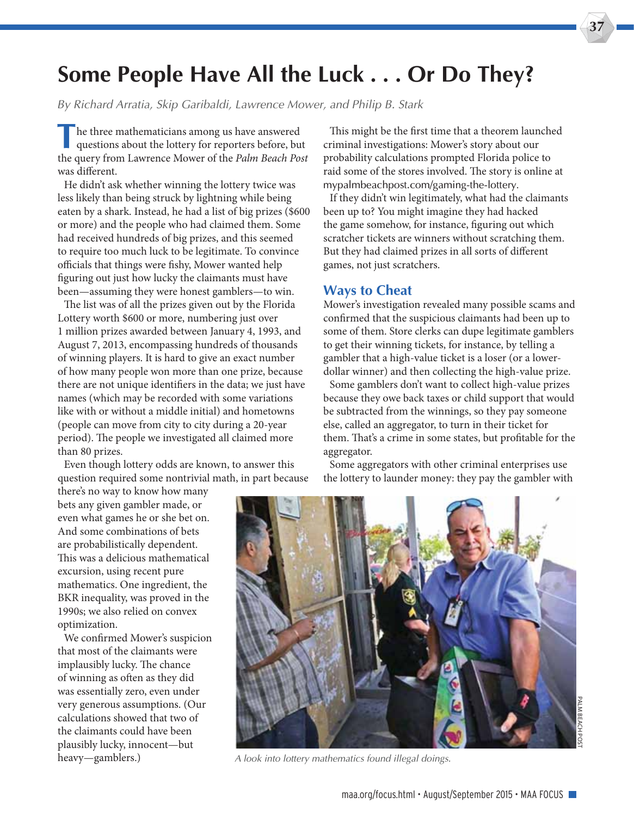## **Some People Have All the Luck . . . Or Do They?**

*By Richard Arratia, Skip Garibaldi, Lawrence Mower, and Philip B. Stark*

**T**he three mathematicians among us have answered questions about the lottery for reporters before, but the query from Lawrence Mower of the Palm Beach Post was diferent.

He didn't ask whether winning the lottery twice was less likely than being struck by lightning while being eaten by a shark. Instead, he had a list of big prizes (\$600 or more) and the people who had claimed them. Some had received hundreds of big prizes, and this seemed to require too much luck to be legitimate. To convince officials that things were fishy, Mower wanted help fguring out just how lucky the claimants must have been—assuming they were honest gamblers—to win.

The list was of all the prizes given out by the Florida Lottery worth \$600 or more, numbering just over 1 million prizes awarded between January 4, 1993, and August 7, 2013, encompassing hundreds of thousands of winning players. It is hard to give an exact number of how many people won more than one prize, because there are not unique identifers in the data; we just have names (which may be recorded with some variations like with or without a middle initial) and hometowns (people can move from city to city during a 20-year period). The people we investigated all claimed more than 80 prizes.

Even though lottery odds are known, to answer this question required some nontrivial math, in part because

there's no way to know how many bets any given gambler made, or even what games he or she bet on. And some combinations of bets are probabilistically dependent. This was a delicious mathematical excursion, using recent pure mathematics. One ingredient, the BKR inequality, was proved in the 1990s; we also relied on convex optimization.

We confrmed Mower's suspicion that most of the claimants were implausibly lucky. The chance of winning as ofen as they did was essentially zero, even under very generous assumptions. (Our calculations showed that two of the claimants could have been plausibly lucky, innocent—but heavy—gamblers.)

This might be the first time that a theorem launched criminal investigations: Mower's story about our probability calculations prompted Florida police to raid some of the stores involved. The story is online at mypalmbeachpost.com/gaming-the-lottery.

If they didn't win legitimately, what had the claimants been up to? You might imagine they had hacked the game somehow, for instance, fguring out which scratcher tickets are winners without scratching them. But they had claimed prizes in all sorts of diferent games, not just scratchers.

## **Ways to Cheat**

Mower's investigation revealed many possible scams and confrmed that the suspicious claimants had been up to some of them. Store clerks can dupe legitimate gamblers to get their winning tickets, for instance, by telling a gambler that a high-value ticket is a loser (or a lowerdollar winner) and then collecting the high-value prize.

Some gamblers don't want to collect high-value prizes because they owe back taxes or child support that would be subtracted from the winnings, so they pay someone else, called an aggregator, to turn in their ticket for them. That's a crime in some states, but profitable for the aggregator.

Some aggregators with other criminal enterprises use the lottery to launder money: they pay the gambler with



*A look into lottery mathematics found illegal doings.*

**37**